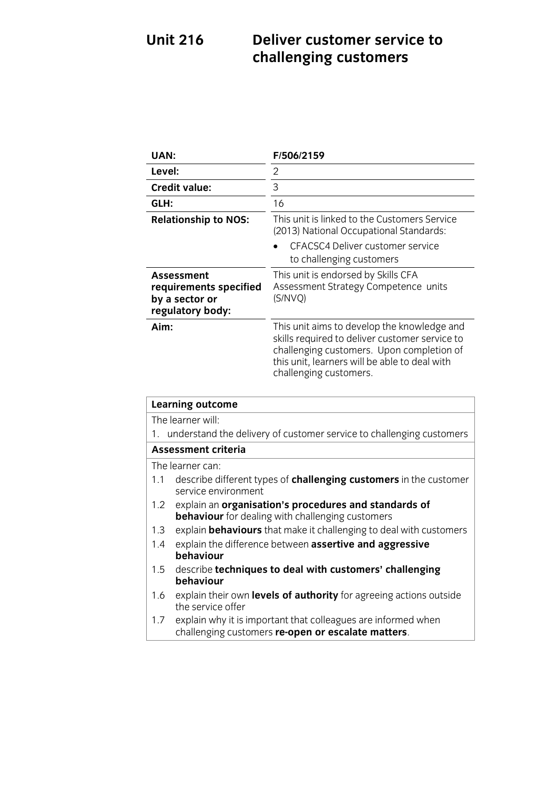### **Unit 216 UNITE 216 DELIVER CONSTRUCTED STATES TO A POST OF A PROPERTY SERVICE TO A PROPERTY SERVICE TO A PROPERTY SERVICE TO A PROPERTY SERVICE TO A PROPERTY SERVICE TO A PROPERTY SERVICE TO A PROPERTY SERVICE TO A PROPERTY SERV challenging customers**

| <b>UAN:</b>                                                                                                             | F/506/2159                                                                                                                                                                                                            |
|-------------------------------------------------------------------------------------------------------------------------|-----------------------------------------------------------------------------------------------------------------------------------------------------------------------------------------------------------------------|
| Level:                                                                                                                  | 2                                                                                                                                                                                                                     |
| <b>Credit value:</b>                                                                                                    | 3                                                                                                                                                                                                                     |
| GLH:                                                                                                                    | 16                                                                                                                                                                                                                    |
| <b>Relationship to NOS:</b>                                                                                             | This unit is linked to the Customers Service<br>(2013) National Occupational Standards:<br>CFACSC4 Deliver customer service<br>to challenging customers                                                               |
| <b>Assessment</b><br>requirements specified<br>by a sector or<br>regulatory body:                                       | This unit is endorsed by Skills CFA<br>Assessment Strategy Competence units<br>(S/NVQ)                                                                                                                                |
| Aim:                                                                                                                    | This unit aims to develop the knowledge and<br>skills required to deliver customer service to<br>challenging customers. Upon completion of<br>this unit, learners will be able to deal with<br>challenging customers. |
| <b>Learning outcome</b>                                                                                                 |                                                                                                                                                                                                                       |
| The learner will:<br>understand the delivery of customer service to challenging customers<br>1.                         |                                                                                                                                                                                                                       |
| <b>Assessment criteria</b>                                                                                              |                                                                                                                                                                                                                       |
| The learner can:<br>1.1<br>describe different types of challenging customers in the customer<br>service environment     |                                                                                                                                                                                                                       |
| explain an organisation's procedures and standards of<br>1.2<br><b>behaviour</b> for dealing with challenging customers |                                                                                                                                                                                                                       |
| explain <b>behaviours</b> that make it challenging to deal with customers<br>1.3                                        |                                                                                                                                                                                                                       |
| explain the difference between assertive and aggressive<br>1.4<br>hehaviour                                             |                                                                                                                                                                                                                       |

- **behaviour** 1.5 describe **techniques to deal with customers' challenging**
- **behaviour** the service offer the service offer<br>explain why it is important that colleagues are informed when
- 1.7 explain why it important that colleges are informed when<br>challenging customers **re-onen or escalate matters** challenging customers **re-open or escalate matters**.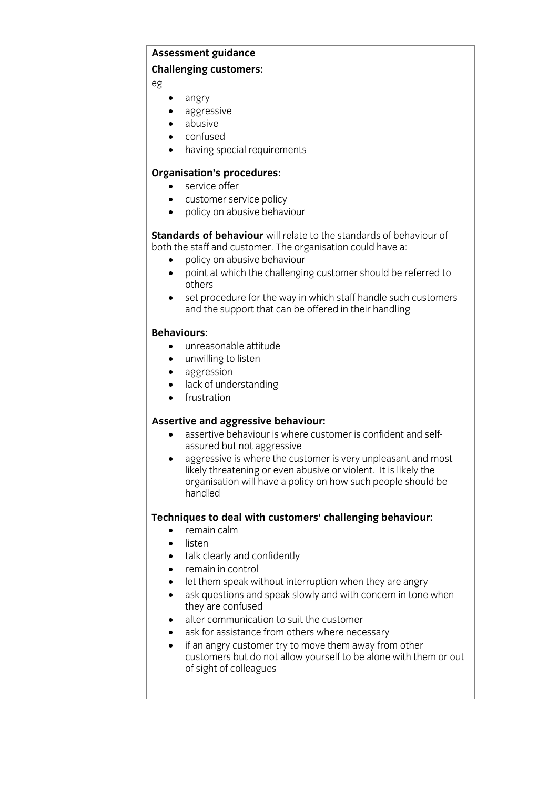# **Assessment guidance**

## **Challenging customers:**

eg

- angry
- aggressive
- abusive
- confused
- having special requirements

- **• Service offer**<br> **• Customer service polic** 
	- customer service policy
	- policy on abusive behaviour

**Standards of behaviour** will relate to the standards of behaviour of both the staff and customer. The organisation could have a:

- policy on abusive behaviour<br>• point at which the challenging customer should he r
	- point at which the challenging customer should be referred to
	- $\bullet$  set procedure for the way in which staff handle such customers<br>and the sunnort that can be offered in their handling and the support that can be offered in their handling

- **Behavior internal partitude**<br> **Behavior internal participant** 
	- unwilling to listen
	- aggression
	- lack of understanding
	- frustration

- **Assertive behaviour is where customer is confident and self-**<br>Assured but not aggressive
	- aggressive is where the customer is very unpleasant and most<br>likely threatening or even abusive or violent. It is likely the medy threatening or even abusive or victom abusing the mediatry and organisation will have a policy on how such people should be handleder<br>Handleder

- **Techniques to deal with customers' control of the set of the set of the set of the set of the set of the set of the set of the set of the set of the set of the set of the set of the set of the set of the set of the set of** 
	- listen
	- talk clearly and confidently
	- remain in control
	- let them speak without interruption when they are angry
	- ask questions and speak slowly and with concern in tone when they are confused
	- $\bullet$  alter communication to suit the customer
	- ask for assistance from others where necessary<br>• if an anoty customer try to move them away from
	- if an angry customer try to move them away from other customers but do not allow yourself to be alone with them or out customers but do not allow you with the alone with the state to be also the state with the model of the model i  $\sim$   $\sim$   $\sim$   $\sim$   $\sim$   $\sim$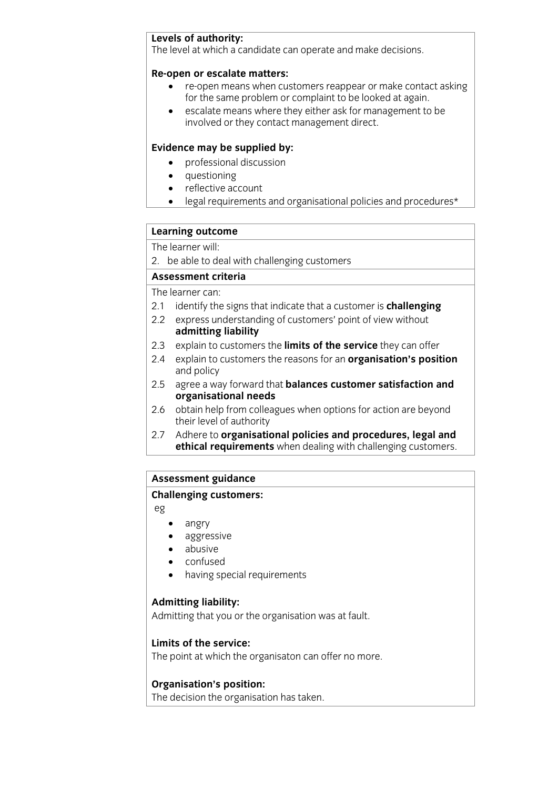**Levels of authority:** The level at which a candidate can operate and make decisions.

- **Reformant of the starters:**<br> **Re-open means when customers reappear or make contact asking<br>
for the same problem or complaint to be looked at again** 
	- escalate means where they either ask for management to be involved or they contact management direct involved or they contact management direct.

- **Evidence** may be supplied by:
	- questioning
	- reflective account
	- legal requirements and organisational policies and procedures\*

## **Learning outcome**<br>The learner will:

The results with 2. be able to deal with challenging customers

The learner can:

- 2.1 identify the signs that indicate that a customer is challenging
- 2.2 express understanding of customers' point of view without admitting liability
- 2.3 explain to customers the **limits of the service** they can offer
- 2.3 explain to customers the **limits of the service** they can offer 2.4 explain to customers the reasons for an **organisation's position** and policy<br>agree a way forward that **balances customer satisfaction and**
- 2.5 agree a way forward that<br>**organisational needs**
- obtain help from colleagues when options for action are beyond 2.6 obtain help from colleagues their level of authority
- Adhere to organisational policies and procedures, legal and 2.7 Adhere to **organisational policies and procedures, legal and ethical requirements** when dealing with challenging customers.

### <del>assessment guidance</del> **Challenging customers:**

- eg
	- angry
	- aggressive
	- abusive
	- confused
	- having special requirements

**Admitting that you o** Admitting that you or the organisation was at fault.

### Limits of the service:

**Limits of the service:** The point at which the organisaton can offer no more.

**Organisation's position:** The decision the organisation has taken.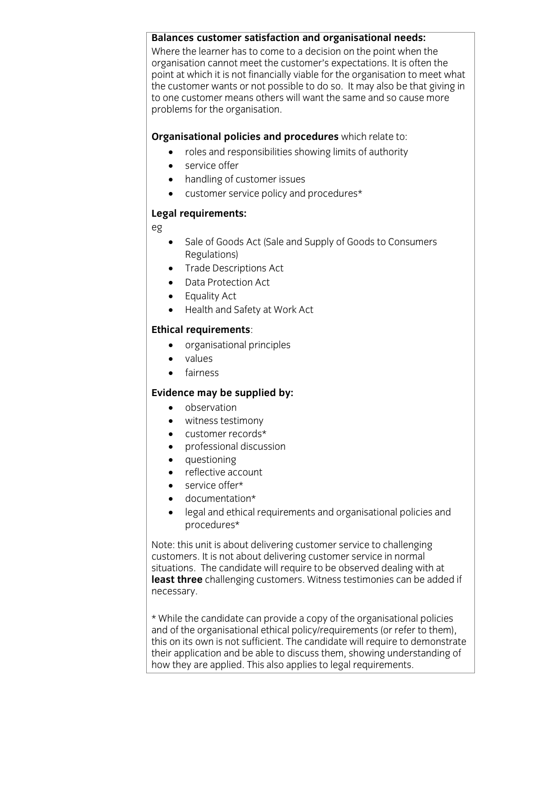## **Balances customer satisfaction and organisational needs:**

organisation cannot meet the customer's expectations. It is often the point at which it is not financially viable for the organisation to meet what the customer wants or not possible to do so. It may also be that giving in to one customer means others will want the same and so cause more problems for the organisation. problems for the organisation.

- **Crime and responsibilities showing limits of authority** 
	- service offer
	- handling of customer issues
	- customer service policy and procedures\*

### **Legal requirements:**

eg

- Sale of Goods Act (Sale and Supply of Goods to Consumers<br>Regulations)
- Trade Descriptions Act
- Data Protection Act
- Equality Act
- Health and Safety at Work Act

- **Example 3**<br> **Example 8**<br> **Example 8** 
	- values
	- fairness

- **Evidence** may be supplied by:
	- witness testimony
	- customer records\*
	- professional discussion
	- questioning
	- reflective account
	- service offer\*
	- documentation\*
	- legal and ethical requirements and organisational policies and procedures\*

Note: this unit is about delivering customer service to challenging customers. It is not about delivering customer service in normal situations. The candidate will require to be observed dealing with at least three challenging customers. Witness testimonies can be added if hecessary. necessary.

\* While the candidate can provide a copy of the organisational policies this on its own is not sufficient. The candidate will require to demonstrate their application and be able to discuss them, showing understanding of how they are applied. This also applies to legal requirements. how they are applied. This also applies to legal requirements.